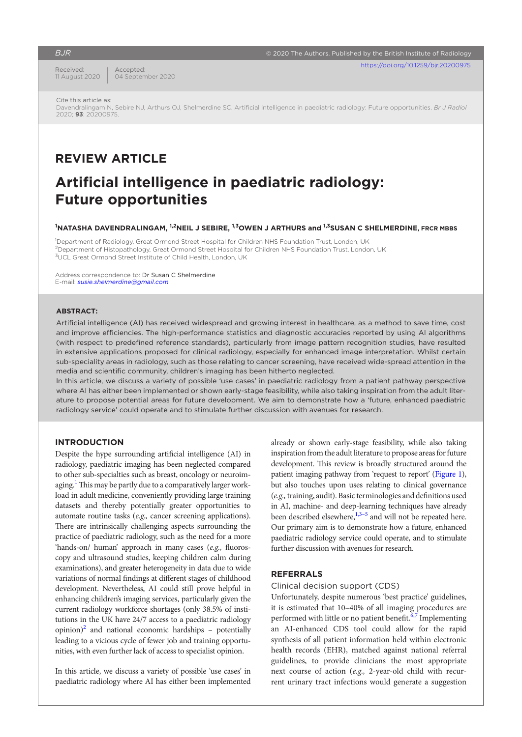## *BJR*

Received: 11 August 2020

Accepted: 04 September 2020

Cite this article as:

Davendralingam N, Sebire NJ, Arthurs OJ, Shelmerdine SC. Artificial intelligence in paediatric radiology: Future opportunities. *Br J Radiol* 2020; **93**: 20200975.

## **REVIEW ARTICLE**

# **Artificial intelligence in paediatric radiology: Future opportunities**

#### $^{\bf 1}$ NATASHA DAVENDRALINGAM, <sup>1,2</sup>NEIL J SEBIRE, <sup>1,3</sup>OWEN J ARTHURS and <sup>1,3</sup>SUSAN C SHELMERDINE, FRCR MBBS

<sup>1</sup>Department of Radiology, Great Ormond Street Hospital for Children NHS Foundation Trust, London, UK 2Department of Histopathology, Great Ormond Street Hospital for Children NHS Foundation Trust, London, UK <sup>3</sup>UCL Great Ormond Street Institute of Child Health, London, UK

Address correspondence to: Dr Susan C Shelmerdine E-mail: *[susie.shelmerdine@gmail.com](mailto:susie.shelmerdine@gmail.com)*

## **ABSTRACT:**

Artificial intelligence (AI) has received widespread and growing interest in healthcare, as a method to save time, cost and improve efficiencies. The high-performance statistics and diagnostic accuracies reported by using AI algorithms (with respect to predefined reference standards), particularly from image pattern recognition studies, have resulted in extensive applications proposed for clinical radiology, especially for enhanced image interpretation. Whilst certain sub-speciality areas in radiology, such as those relating to cancer screening, have received wide-spread attention in the media and scientific community, children's imaging has been hitherto neglected.

In this article, we discuss a variety of possible 'use cases' in paediatric radiology from a patient pathway perspective where AI has either been implemented or shown early-stage feasibility, while also taking inspiration from the adult literature to propose potential areas for future development. We aim to demonstrate how a 'future, enhanced paediatric radiology service' could operate and to stimulate further discussion with avenues for research.

#### **INTRODUCTION**

Despite the hype surrounding artificial intelligence (AI) in radiology, paediatric imaging has been neglected compared to other sub-specialties such as breast, oncology or neuroimaging.<sup>1</sup> This may be partly due to a comparatively larger workload in adult medicine, conveniently providing large training datasets and thereby potentially greater opportunities to automate routine tasks (*e.g.,* cancer screening applications). There are intrinsically challenging aspects surrounding the practice of paediatric radiology, such as the need for a more 'hands-on/ human' approach in many cases (*e.g.,* fluoroscopy and ultrasound studies, keeping children calm during examinations), and greater heterogeneity in data due to wide variations of normal findings at different stages of childhood development. Nevertheless, AI could still prove helpful in enhancing children's imaging services, particularly given the current radiology workforce shortages (only 38.5% of institutions in the UK have 24/7 access to a paediatric radiology opinion)<sup>2</sup> and national economic hardships - potentially leading to a vicious cycle of fewer job and training opportunities, with even further lack of access to specialist opinion.

In this article, we discuss a variety of possible 'use cases' in paediatric radiology where AI has either been implemented already or shown early-stage feasibility, while also taking inspiration from the adult literature to propose areas for future development. This review is broadly structured around the patient imaging pathway from 'request to report' [\(Figure 1\)](#page-1-0), but also touches upon uses relating to clinical governance (*e.g.,* training, audit). Basic terminologies and definitions used in AI, machine- and deep-learning techniques have already been described elsewhere, $1,3-5$  and will not be repeated here. Our primary aim is to demonstrate how a future, enhanced paediatric radiology service could operate, and to stimulate further discussion with avenues for research.

## **REFERRALS**

#### Clinical decision support (CDS)

Unfortunately, despite numerous 'best practice' guidelines, it is estimated that 10–40% of all imaging procedures are performed with little or no patient benefit.<sup>6,7</sup> Implementing an AI-enhanced CDS tool could allow for the rapid synthesis of all patient information held within electronic health records (EHR), matched against national referral guidelines, to provide clinicians the most appropriate next course of action (*e.g.,* 2-year-old child with recurrent urinary tract infections would generate a suggestion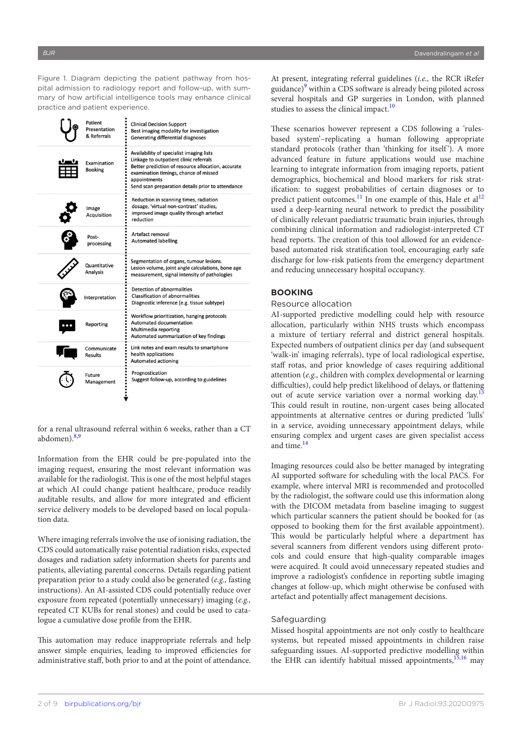<span id="page-1-0"></span>Figure 1. Diagram depicting the patient pathway from hospital admission to radiology report and follow-up, with summary of how artificial intelligence tools may enhance clinical practice and patient experience.

| Patient<br>Presentation<br>& Referrals | <b>Clinical Decision Support</b><br>Best imaging modality for investigation<br><b>Generating differential diagnoses</b>                                                                                                                                |
|----------------------------------------|--------------------------------------------------------------------------------------------------------------------------------------------------------------------------------------------------------------------------------------------------------|
| Examination<br><b>Booking</b>          | Availability of specialist imaging lists<br>Linkage to outpatient clinic referrals<br>Better prediction of resource allocation, accurate<br>examination timings, chance of missed<br>appointments<br>Send scan preparation details prior to attendance |
| Image<br>Acquisition                   | Reduction in scanning times, radiation<br>dosage, 'virtual non-contrast' studies,<br>improved image quality through artefact<br>reduction                                                                                                              |
| Post-<br>processing                    | Artefact removal<br><b>Automated labelling</b>                                                                                                                                                                                                         |
| Quantitative<br><b>Analysis</b>        | Segmentation of organs, tumour lesions.<br>Lesion volume, joint angle calculations, bone age<br>measurement, signal intensity of pathologies                                                                                                           |
| Interpretation                         | Detection of abnormalities<br><b>Classification of abnormalities</b><br>Diagnostic inference (e.g. tissue subtype)                                                                                                                                     |
| Reporting                              | Workflow prioritization, hanging protocols<br>Automated documentation<br>Multimedia reporting<br>Automated summarization of key findings                                                                                                               |
| Communicate<br>Results                 | Link notes and exam results to smartphone<br>health applications<br><b>Automated actioning</b>                                                                                                                                                         |
| Future<br>Management                   | Prognostication<br>Suggest follow-up, according to guidelines                                                                                                                                                                                          |

for a renal ultrasound referral within 6 weeks, rather than a CT abdomen). $8,9$ 

Information from the EHR could be pre-populated into the imaging request, ensuring the most relevant information was available for the radiologist. This is one of the most helpful stages at which AI could change patient healthcare, produce readily auditable results, and allow for more integrated and efficient service delivery models to be developed based on local population data.

Where imaging referrals involve the use of ionising radiation, the CDS could automatically raise potential radiation risks, expected dosages and radiation safety information sheets for parents and patients, alleviating parental concerns. Details regarding patient preparation prior to a study could also be generated (*e.g.,* fasting instructions). An AI-assisted CDS could potentially reduce over exposure from repeated (potentially unnecessary) imaging (*e.g.,* repeated CT KUBs for renal stones) and could be used to catalogue a cumulative dose profile from the EHR.

This automation may reduce inappropriate referrals and help answer simple enquiries, leading to improved efficiencies for administrative staff, both prior to and at the point of attendance.

At present, integrating referral guidelines (*i.e.,* the RCR iRefer guidance)<sup>[9](#page-6-4)</sup> within a CDS software is already being piloted across several hospitals and GP surgeries in London, with planned studies to assess the clinical impact. $10$ 

These scenarios however represent a CDS following a 'rulesbased system'–replicating a human following appropriate standard protocols (rather than 'thinking for itself'). A more advanced feature in future applications would use machine learning to integrate information from imaging reports, patient demographics, biochemical and blood markers for risk stratification: to suggest probabilities of certain diagnoses or to predict patient outcomes.<sup>11</sup> In one example of this, Hale et al<sup>[12](#page-6-7)</sup> used a deep-learning neural network to predict the possibility of clinically relevant paediatric traumatic brain injuries, through combining clinical information and radiologist-interpreted CT head reports. The creation of this tool allowed for an evidencebased automated risk stratification tool, encouraging early safe discharge for low-risk patients from the emergency department and reducing unnecessary hospital occupancy.

## **BOOKING**

#### Resource allocation

AI-supported predictive modelling could help with resource allocation, particularly within NHS trusts which encompass a mixture of tertiary referral and district general hospitals. Expected numbers of outpatient clinics per day (and subsequent 'walk-in' imaging referrals), type of local radiological expertise, staff rotas, and prior knowledge of cases requiring additional attention (*e.g.,* children with complex developmental or learning difficulties), could help predict likelihood of delays, or flattening out of acute service variation over a normal working day.<sup>[13](#page-6-8)</sup> This could result in routine, non-urgent cases being allocated appointments at alternative centres or during predicted 'lulls' in a service, avoiding unnecessary appointment delays, while ensuring complex and urgent cases are given specialist access and time.<sup>[14](#page-6-9)</sup>

Imaging resources could also be better managed by integrating AI supported software for scheduling with the local PACS. For example, where interval MRI is recommended and protocolled by the radiologist, the software could use this information along with the DICOM metadata from baseline imaging to suggest which particular scanners the patient should be booked for (as opposed to booking them for the first available appointment). This would be particularly helpful where a department has several scanners from different vendors using different protocols and could ensure that high-quality comparable images were acquired. It could avoid unnecessary repeated studies and improve a radiologist's confidence in reporting subtle imaging changes at follow-up, which might otherwise be confused with artefact and potentially affect management decisions.

#### Safeguarding

Missed hospital appointments are not only costly to healthcare systems, but repeated missed appointments in children raise safeguarding issues. AI-supported predictive modelling within the EHR can identify habitual missed appointments,  $15,16$  may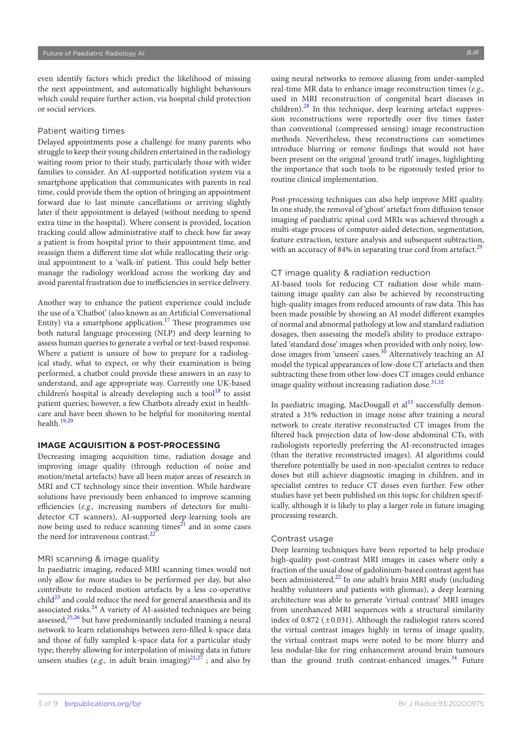even identify factors which predict the likelihood of missing the next appointment, and automatically highlight behaviours which could require further action, via hospital child protection or social services.

## Patient waiting times

Delayed appointments pose a challenge for many parents who struggle to keep their young children entertained in the radiology waiting room prior to their study, particularly those with wider families to consider. An AI-supported notification system via a smartphone application that communicates with parents in real time, could provide them the option of bringing an appointment forward due to last minute cancellations or arriving slightly later if their appointment is delayed (without needing to spend extra time in the hospital). Where consent is provided, location tracking could allow administrative staff to check how far away a patient is from hospital prior to their appointment time, and reassign them a different time slot while reallocating their original appointment to a 'walk-in' patient. This could help better manage the radiology workload across the working day and avoid parental frustration due to inefficiencies in service delivery.

Another way to enhance the patient experience could include the use of a 'Chatbot' (also known as an Artificial Conversational Entity) via a smartphone application.<sup>17</sup> These programmes use both natural language processing (NLP) and deep learning to assess human queries to generate a verbal or text-based response. Where a patient is unsure of how to prepare for a radiological study, what to expect, or why their examination is being performed, a chatbot could provide these answers in an easy to understand, and age appropriate way. Currently one UK-based children's hospital is already developing such a tool $^{18}$  to assist patient queries; however, a few Chatbots already exist in healthcare and have been shown to be helpful for monitoring mental health.[19,20](#page-6-13)

## **IMAGE ACQUISITION & POST-PROCESSING**

Decreasing imaging acquisition time, radiation dosage and improving image quality (through reduction of noise and motion/metal artefacts) have all been major areas of research in MRI and CT technology since their invention. While hardware solutions have previously been enhanced to improve scanning efficiencies (*e.g.,* increasing numbers of detectors for multidetector CT scanners), AI-supported deep-learning tools are now being used to reduce scanning times $2<sup>1</sup>$  and in some cases the need for intravenous contrast. $^{22}$  $^{22}$  $^{22}$ 

## MRI scanning & image quality

In paediatric imaging, reduced MRI scanning times would not only allow for more studies to be performed per day, but also contribute to reduced motion artefacts by a less co-operative child $^{23}$  and could reduce the need for general anaesthesia and its associated risks.<sup>24</sup> A variety of AI-assisted techniques are being assessed, $^{25,26}$  $^{25,26}$  $^{25,26}$  but have predominantly included training a neural network to learn relationships between zero-filled k-space data and those of fully sampled k-space data for a particular study type; thereby allowing for interpolation of missing data in future unseen studies (*e.g.*, in adult brain imaging) $^{21,27}$ ; and also by

using neural networks to remove aliasing from under-sampled real-time MR data to enhance image reconstruction times (*e.g.,* used in MRI reconstruction of congenital heart diseases in children).<sup>28</sup> In this technique, deep learning artefact suppression reconstructions were reportedly over five times faster than conventional (compressed sensing) image reconstruction methods. Nevertheless, these reconstructions can sometimes introduce blurring or remove findings that would not have been present on the original 'ground truth' images, highlighting the importance that such tools to be rigorously tested prior to routine clinical implementation.

Post-processing techniques can also help improve MRI quality. In one study, the removal of 'ghost' artefact from diffusion tensor imaging of paediatric spinal cord MRIs was achieved through a multi-stage process of computer-aided detection, segmentation, feature extraction, texture analysis and subsequent subtraction, with an accuracy of 84% in separating true cord from artefact.<sup>[29](#page-6-20)</sup>

## CT image quality & radiation reduction

AI-based tools for reducing CT radiation dose while maintaining image quality can also be achieved by reconstructing high-quality images from reduced amounts of raw data. This has been made possible by showing an AI model different examples of normal and abnormal pathology at low and standard radiation dosages, then assessing the model's ability to produce extrapolated 'standard dose' images when provided with only noisy, lowdose images from 'unseen' cases.<sup>30</sup> Alternatively teaching an AI model the typical appearances of low-dose CT artefacts and then subtracting these from other low-does CT images could enhance image quality without increasing radiation dose.<sup>[31,32](#page-6-22)</sup>

In paediatric imaging, MacDougall et  $al<sup>33</sup>$  $al<sup>33</sup>$  $al<sup>33</sup>$  successfully demonstrated a 31% reduction in image noise after training a neural network to create iterative reconstructed CT images from the filtered back projection data of low-dose abdominal CTs, with radiologists reportedly preferring the AI-reconstructed images (than the iterative reconstructed images). AI algorithms could therefore potentially be used in non-specialist centres to reduce doses but still achieve diagnostic imaging in children, and in specialist centres to reduce CT doses even further. Few other studies have yet been published on this topic for children specifically, although it is likely to play a larger role in future imaging processing research.

#### Contrast usage

Deep learning techniques have been reported to help produce high-quality post-contrast MRI images in cases where only a fraction of the usual dose of gadolinium-based contrast agent has been administered.<sup>22</sup> In one adult's brain MRI study (including healthy volunteers and patients with gliomas), a deep learning architecture was able to generate 'virtual contrast' MRI images from unenhanced MRI sequences with a structural similarity index of 0.872 ( $\pm$ 0.031). Although the radiologist raters scored the virtual contrast images highly in terms of image quality, the virtual contrast maps were noted to be more blurry and less nodular-like for ring enhancement around brain tumours than the ground truth contrast-enhanced images.<sup>[34](#page-7-1)</sup> Future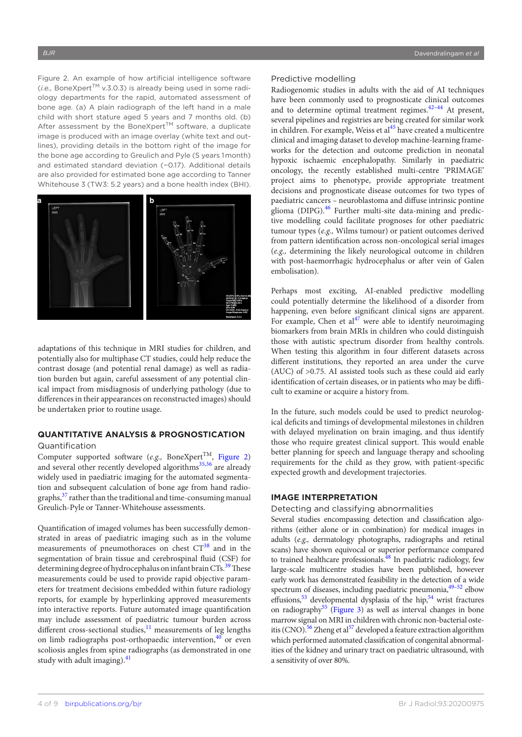<span id="page-3-0"></span>Figure 2. An example of how artificial intelligence software (*i.e.,* BoneXpertTM v.3.0.3) is already being used in some radiology departments for the rapid, automated assessment of bone age. (a) A plain radiograph of the left hand in a male child with short stature aged 5 years and 7 months old. (b) After assessment by the BoneXpert™ software, a duplicate image is produced with an image overlay (white text and outlines), providing details in the bottom right of the image for the bone age according to Greulich and Pyle (5 years 1 month) and estimated standard deviation (−0.17). Additional details are also provided for estimated bone age according to Tanner Whitehouse 3 (TW3: 5.2 years) and a bone health index (BHI).



adaptations of this technique in MRI studies for children, and potentially also for multiphase CT studies, could help reduce the contrast dosage (and potential renal damage) as well as radiation burden but again, careful assessment of any potential clinical impact from misdiagnosis of underlying pathology (due to differences in their appearances on reconstructed images) should be undertaken prior to routine usage.

## **QUANTITATIVE ANALYSIS & PROGNOSTICATION** Quantification

Computer supported software  $(e.g., \text{ BoneXpert}^{TM}, \text{Figure 2})$ and several other recently developed algorithms<sup>35,36</sup> are already widely used in paediatric imaging for the automated segmentation and subsequent calculation of bone age from hand radiographs, $37$  rather than the traditional and time-consuming manual Greulich-Pyle or Tanner-Whitehouse assessments.

Quantification of imaged volumes has been successfully demonstrated in areas of paediatric imaging such as in the volume measurements of pneumothoraces on chest  $CT^{38}$  $CT^{38}$  $CT^{38}$  and in the segmentation of brain tissue and cerebrospinal fluid (CSF) for determining degree of hydrocephalus on infant brain CTs.<sup>[39](#page-7-5)</sup> These measurements could be used to provide rapid objective parameters for treatment decisions embedded within future radiology reports, for example by hyperlinking approved measurements into interactive reports. Future automated image quantification may include assessment of paediatric tumour burden across different cross-sectional studies, $^{11}$  measurements of leg lengths on limb radiographs post-orthopaedic intervention,  $40$  or even scoliosis angles from spine radiographs (as demonstrated in one study with adult imaging). $41$ 

#### Predictive modelling

Radiogenomic studies in adults with the aid of AI techniques have been commonly used to prognosticate clinical outcomes and to determine optimal treatment regimes. $42-44$  At present, several pipelines and registries are being created for similar work in children. For example, Weiss et al<sup>[45](#page-7-9)</sup> have created a multicentre clinical and imaging dataset to develop machine-learning frameworks for the detection and outcome prediction in neonatal hypoxic ischaemic encephalopathy. Similarly in paediatric oncology, the recently established multi-centre 'PRIMAGE' project aims to phenotype, provide appropriate treatment decisions and prognosticate disease outcomes for two types of paediatric cancers – neuroblastoma and diffuse intrinsic pontine glioma (DIPG).<sup>[46](#page-7-10)</sup> Further multi-site data-mining and predictive modelling could facilitate prognoses for other paediatric tumour types (*e.g.,* Wilms tumour) or patient outcomes derived from pattern identification across non-oncological serial images (*e.g.,* determining the likely neurological outcome in children with post-haemorrhagic hydrocephalus or after vein of Galen embolisation).

Perhaps most exciting, AI-enabled predictive modelling could potentially determine the likelihood of a disorder from happening, even before significant clinical signs are apparent. For example, Chen et  $al^{47}$  were able to identify neuroimaging biomarkers from brain MRIs in children who could distinguish those with autistic spectrum disorder from healthy controls. When testing this algorithm in four different datasets across different institutions, they reported an area under the curve (AUC) of >0.75. AI assisted tools such as these could aid early identification of certain diseases, or in patients who may be difficult to examine or acquire a history from.

In the future, such models could be used to predict neurological deficits and timings of developmental milestones in children with delayed myelination on brain imaging, and thus identify those who require greatest clinical support. This would enable better planning for speech and language therapy and schooling requirements for the child as they grow, with patient-specific expected growth and development trajectories.

## **IMAGE INTERPRETATION**

### Detecting and classifying abnormalities

Several studies encompassing detection and classification algorithms (either alone or in combination) for medical images in adults (*e.g.,* dermatology photographs, radiographs and retinal scans) have shown equivocal or superior performance compared to trained healthcare professionals. $^{48}$  In paediatric radiology, few large-scale multicentre studies have been published, however early work has demonstrated feasibility in the detection of a wide spectrum of diseases, including paediatric pneumonia, <sup>49–52</sup> elbow effusions, $53$  developmental dysplasia of the hip, $54$  wrist fractures on radiography<sup>55</sup> (Figure 3) as well as interval changes in bone marrow signal on MRI in children with chronic non-bacterial oste-itis (CNO).<sup>[56](#page-7-17)</sup> Zheng et al<sup>[57](#page-7-18)</sup> developed a feature extraction algorithm which performed automated classification of congenital abnormalities of the kidney and urinary tract on paediatric ultrasound, with a sensitivity of over 80%.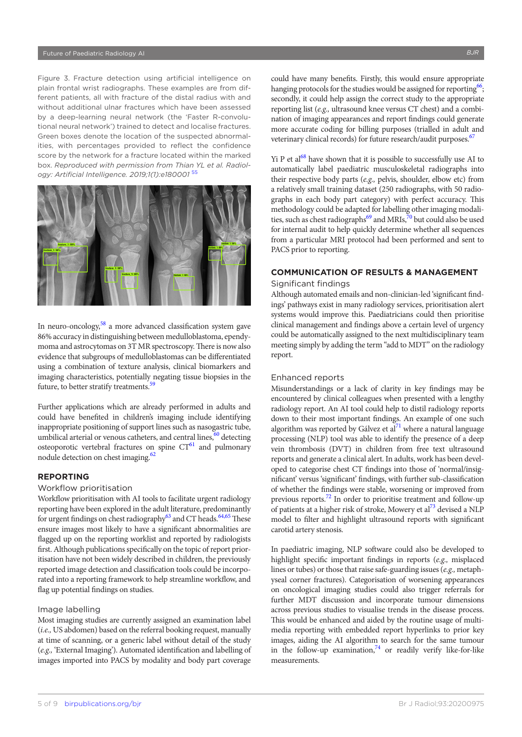<span id="page-4-0"></span>Figure 3. Fracture detection using artificial intelligence on plain frontal wrist radiographs. These examples are from different patients, all with fracture of the distal radius with and without additional ulnar fractures which have been assessed by a deep-learning neural network (the 'Faster R-convolutional neural network') trained to detect and localise fractures. Green boxes denote the location of the suspected abnormalities, with percentages provided to reflect the confidence score by the network for a fracture located within the marked box. *Reproduced with permission from Thian YL et al. Radiology: Artificial Intelligence. 2019;1(1):e180001* [55](#page-7-16)



In neuro-oncology, $58$  a more advanced classification system gave 86% accuracy in distinguishing between medulloblastoma, ependymoma and astrocytomas on 3T MR spectroscopy. There is now also evidence that subgroups of medulloblastomas can be differentiated using a combination of texture analysis, clinical biomarkers and imaging characteristics, potentially negating tissue biopsies in the future, to better stratify treatments.<sup>[59](#page-7-20)</sup>

Further applications which are already performed in adults and could have benefited in children's imaging include identifying inappropriate positioning of support lines such as nasogastric tube, umbilical arterial or venous catheters, and central lines, $60$  detecting osteoporotic vertebral fractures on spine  $CT^{61}$  and pulmonary nodule detection on chest imaging.<sup>62</sup>

## **REPORTING**

#### Workflow prioritisation

Workflow prioritisation with AI tools to facilitate urgent radiology reporting have been explored in the adult literature, predominantly for urgent findings on chest radiography $^{63}$  $^{63}$  $^{63}$  and CT heads.<sup>64,65</sup> These ensure images most likely to have a significant abnormalities are flagged up on the reporting worklist and reported by radiologists first. Although publications specifically on the topic of report prioritisation have not been widely described in children, the previously reported image detection and classification tools could be incorporated into a reporting framework to help streamline workflow, and flag up potential findings on studies.

## Image labelling

Most imaging studies are currently assigned an examination label (*i.e.,* US abdomen) based on the referral booking request, manually at time of scanning, or a generic label without detail of the study (*e.g.,* 'External Imaging'). Automated identification and labelling of images imported into PACS by modality and body part coverage

could have many benefits. Firstly, this would ensure appropriate hanging protocols for the studies would be assigned for reporting  $66$ ; secondly, it could help assign the correct study to the appropriate reporting list (*e.g.,* ultrasound knee versus CT chest) and a combination of imaging appearances and report findings could generate more accurate coding for billing purposes (trialled in adult and veterinary clinical records) for future research/audit purposes.<sup>67</sup>

Yi P et al<sup>68</sup> have shown that it is possible to successfully use AI to automatically label paediatric musculoskeletal radiographs into their respective body parts (*e.g.,* pelvis, shoulder, elbow etc) from a relatively small training dataset (250 radiographs, with 50 radiographs in each body part category) with perfect accuracy. This methodology could be adapted for labelling other imaging modali-ties, such as chest radiographs<sup>[69](#page-8-8)</sup> and MRIs,  $\frac{1}{20}$  but could also be used for internal audit to help quickly determine whether all sequences from a particular MRI protocol had been performed and sent to PACS prior to reporting.

## **COMMUNICATION OF RESULTS & MANAGEMENT**

#### Significant findings

Although automated emails and non-clinician-led 'significant findings' pathways exist in many radiology services, prioritisation alert systems would improve this. Paediatricians could then prioritise clinical management and findings above a certain level of urgency could be automatically assigned to the next multidisciplinary team meeting simply by adding the term "add to MDT" on the radiology report.

## Enhanced reports

Misunderstandings or a lack of clarity in key findings may be encountered by clinical colleagues when presented with a lengthy radiology report. An AI tool could help to distil radiology reports down to their most important findings. An example of one such algorithm was reported by Gálvez et  $a^{71}$  where a natural language processing (NLP) tool was able to identify the presence of a deep vein thrombosis (DVT) in children from free text ultrasound reports and generate a clinical alert. In adults, work has been developed to categorise chest CT findings into those of 'normal/insignificant' versus 'significant' findings, with further sub-classification of whether the findings were stable, worsening or improved from previous reports.<sup>[72](#page-8-11)</sup> In order to prioritise treatment and follow-up of patients at a higher risk of stroke, Mowery et al<sup>73</sup> devised a NLP model to filter and highlight ultrasound reports with significant carotid artery stenosis.

In paediatric imaging, NLP software could also be developed to highlight specific important findings in reports (*e.g.,* misplaced lines or tubes) or those that raise safe-guarding issues (*e.g.,* metaphyseal corner fractures). Categorisation of worsening appearances on oncological imaging studies could also trigger referrals for further MDT discussion and incorporate tumour dimensions across previous studies to visualise trends in the disease process. This would be enhanced and aided by the routine usage of multimedia reporting with embedded report hyperlinks to prior key images, aiding the AI algorithm to search for the same tumour in the follow-up examination, $74$  or readily verify like-for-like measurements.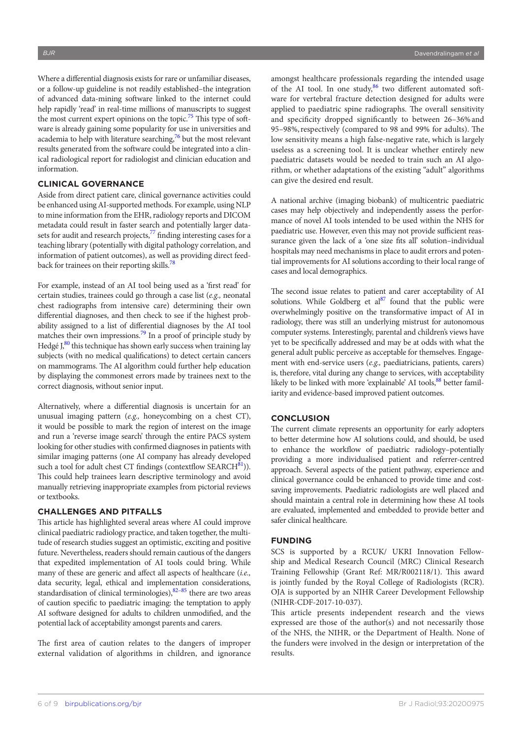Where a differential diagnosis exists for rare or unfamiliar diseases, or a follow-up guideline is not readily established–the integration of advanced data-mining software linked to the internet could help rapidly 'read' in real-time millions of manuscripts to suggest the most current expert opinions on the topic.<sup>75</sup> This type of software is already gaining some popularity for use in universities and academia to help with literature searching, $^{76}$  but the most relevant results generated from the software could be integrated into a clinical radiological report for radiologist and clinician education and information.

### **CLINICAL GOVERNANCE**

Aside from direct patient care, clinical governance activities could be enhanced using AI-supported methods. For example, using NLP to mine information from the EHR, radiology reports and DICOM metadata could result in faster search and potentially larger datasets for audit and research projects, $\frac{7}{7}$  finding interesting cases for a teaching library (potentially with digital pathology correlation, and information of patient outcomes), as well as providing direct feedback for trainees on their reporting skills.<sup>78</sup>

For example, instead of an AI tool being used as a 'first read' for certain studies, trainees could go through a case list (*e.g.,* neonatal chest radiographs from intensive care) determining their own differential diagnoses, and then check to see if the highest probability assigned to a list of differential diagnoses by the AI tool matches their own impressions.<sup>79</sup> In a proof of principle study by Hedgé  $J<sub>s</sub><sup>80</sup>$  this technique has shown early success when training lay subjects (with no medical qualifications) to detect certain cancers on mammograms. The AI algorithm could further help education by displaying the commonest errors made by trainees next to the correct diagnosis, without senior input.

Alternatively, where a differential diagnosis is uncertain for an unusual imaging pattern (*e.g.,* honeycombing on a chest CT), it would be possible to mark the region of interest on the image and run a 'reverse image search' through the entire PACS system looking for other studies with confirmed diagnoses in patients with similar imaging patterns (one AI company has already developed such a tool for adult chest CT findings (contextflow  $SEARCH^{81}$ )). This could help trainees learn descriptive terminology and avoid manually retrieving inappropriate examples from pictorial reviews or textbooks.

## **CHALLENGES AND PITFALLS**

This article has highlighted several areas where AI could improve clinical paediatric radiology practice, and taken together, the multitude of research studies suggest an optimistic, exciting and positive future. Nevertheless, readers should remain cautious of the dangers that expedited implementation of AI tools could bring. While many of these are generic and affect all aspects of healthcare (*i.e.,* data security, legal, ethical and implementation considerations, standardisation of clinical terminologies), $82-85$  there are two areas of caution specific to paediatric imaging: the temptation to apply AI software designed for adults to children unmodified, and the potential lack of acceptability amongst parents and carers.

The first area of caution relates to the dangers of improper external validation of algorithms in children, and ignorance amongst healthcare professionals regarding the intended usage of the AI tool. In one study, 86 two different automated software for vertebral fracture detection designed for adults were applied to paediatric spine radiographs. The overall sensitivity and specificity dropped significantly to between 26–36%and 95–98%,respectively (compared to 98 and 99% for adults). The low sensitivity means a high false-negative rate, which is largely useless as a screening tool. It is unclear whether entirely new paediatric datasets would be needed to train such an AI algorithm, or whether adaptations of the existing "adult" algorithms can give the desired end result.

A national archive (imaging biobank) of multicentric paediatric cases may help objectively and independently assess the performance of novel AI tools intended to be used within the NHS for paediatric use. However, even this may not provide sufficient reassurance given the lack of a 'one size fits all' solution–individual hospitals may need mechanisms in place to audit errors and potential improvements for AI solutions according to their local range of cases and local demographics.

The second issue relates to patient and carer acceptability of AI solutions. While Goldberg et  $al^{87}$  $al^{87}$  $al^{87}$  found that the public were overwhelmingly positive on the transformative impact of AI in radiology, there was still an underlying mistrust for autonomous computer systems. Interestingly, parental and children's views have yet to be specifically addressed and may be at odds with what the general adult public perceive as acceptable for themselves. Engagement with end-service users (*e.g.,* paediatricians, patients, carers) is, therefore, vital during any change to services, with acceptability likely to be linked with more 'explainable' AI tools, <sup>88</sup> better familiarity and evidence-based improved patient outcomes.

## **CONCLUSION**

The current climate represents an opportunity for early adopters to better determine how AI solutions could, and should, be used to enhance the workflow of paediatric radiology–potentially providing a more individualised patient and referrer-centred approach. Several aspects of the patient pathway, experience and clinical governance could be enhanced to provide time and costsaving improvements. Paediatric radiologists are well placed and should maintain a central role in determining how these AI tools are evaluated, implemented and embedded to provide better and safer clinical healthcare.

## **FUNDING**

SCS is supported by a RCUK/ UKRI Innovation Fellowship and Medical Research Council (MRC) Clinical Research Training Fellowship (Grant Ref: MR/R002118/1). This award is jointly funded by the Royal College of Radiologists (RCR). OJA is supported by an NIHR Career Development Fellowship (NIHR-CDF-2017-10-037).

This article presents independent research and the views expressed are those of the author(s) and not necessarily those of the NHS, the NIHR, or the Department of Health. None of the funders were involved in the design or interpretation of the results.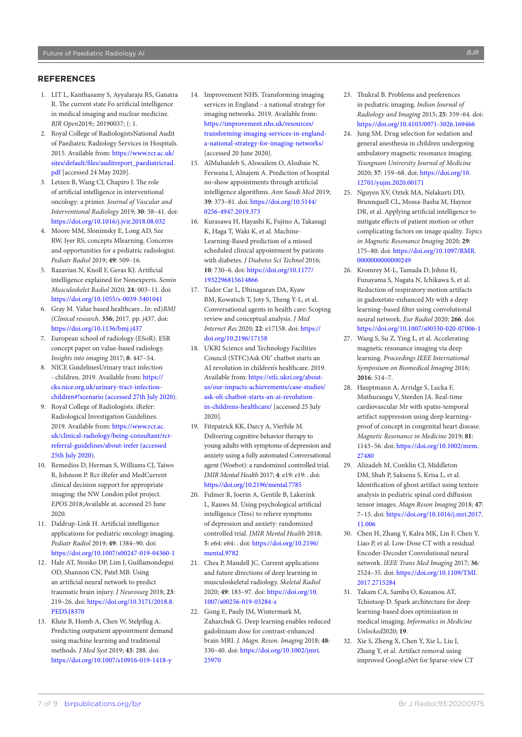## **REFERENCES**

- <span id="page-6-0"></span>1. LIT L, Kanthasamy S, Ayyalaraju RS, Ganatra R. The current state Fo artificial intelligence in medical imaging and nuclear medicine. *BJR Open*2019;: 20190037; (: 1.
- <span id="page-6-1"></span>2. Royal College of RadiologistsNational Audit of Paediatric Radiology Services in Hospitals. 2015. Available from: [https://www.rcr.ac.uk/](https://www.rcr.ac.uk/sites/default/files/auditreport_paediatricrad.pdf) [sites/default/files/auditreport\\_paediatricrad.](https://www.rcr.ac.uk/sites/default/files/auditreport_paediatricrad.pdf) [pdf](https://www.rcr.ac.uk/sites/default/files/auditreport_paediatricrad.pdf) [accessed 24 May 2020].
- 3. Letzen B, Wang CJ, Chapiro J. The role of artificial intelligence in interventional oncology: a primer. *Journal of Vascular and Interventional Radiology* 2019; **30**: 38–41. doi: <https://doi.org/10.1016/j.jvir.2018.08.032>
- 4. Moore MM, Slonimsky E, Long AD, Sze RW, Iyer RS, concepts Mlearning. Concerns and opportunities for a pediatric radiologist. *Pediatr Radiol* 2019; **49**: 509–16.
- 5. Razavian N, Knoll F, Geras KJ. Artificial intelligence explained for Nonexperts. *Semin Musculoskelet Radiol* 2020; **24**: 003–11. doi: <https://doi.org/10.1055/s-0039-3401041>
- <span id="page-6-2"></span>6. Gray M. Value based healthcare.. In: ed)*BMJ (Clinical research*. **356**; 2017. pp. j437. doi: <https://doi.org/10.1136/bmj.j437>
- 7. European school of radiology (ESoR). ESR concept paper on value-based radiology. *Insights into imaging* 2017; **8**: 447–54.
- <span id="page-6-3"></span>8. NICE GuidelinesUrinary tract infection - children. 2019. Available from: [https://](https://cks.nice.org.uk/urinary-tract-infection-children#!scenario%20(accessed%2027th%20July%202020)) [cks.nice.org.uk/urinary-tract-infection](https://cks.nice.org.uk/urinary-tract-infection-children#!scenario%20(accessed%2027th%20July%202020))[children#!scenario \(accessed 27th July 2020\)](https://cks.nice.org.uk/urinary-tract-infection-children#!scenario%20(accessed%2027th%20July%202020)).
- <span id="page-6-4"></span>9. Royal College of Radiologists. iRefer: Radiological Investigation Guidelines. 2019. Available from: [https://www.rcr.ac.](https://www.rcr.ac.uk/clinical-radiology/being-consultant/rcr-referral-guidelines/about-irefer%20(accessed%2025th%20July%202020)) [uk/clinical-radiology/being-consultant/rcr](https://www.rcr.ac.uk/clinical-radiology/being-consultant/rcr-referral-guidelines/about-irefer%20(accessed%2025th%20July%202020))[referral-guidelines/about-irefer \(accessed](https://www.rcr.ac.uk/clinical-radiology/being-consultant/rcr-referral-guidelines/about-irefer%20(accessed%2025th%20July%202020))  [25th July 2020\).](https://www.rcr.ac.uk/clinical-radiology/being-consultant/rcr-referral-guidelines/about-irefer%20(accessed%2025th%20July%202020))
- <span id="page-6-5"></span>10. Remedios D, Herman S, Williams CJ, Taiwo R, Johnson P. Rcr iRefer and MedCurrent clinical decision support for appropriate imaging: the NW London pilot project. *EPOS* 2018;Available at. accessed 25 June 2020.
- <span id="page-6-6"></span>11. Daldrup-Link H. Artificial intelligence applications for pediatric oncology imaging. *Pediatr Radiol* 2019; **49**: 1384–90. doi: <https://doi.org/10.1007/s00247-019-04360-1>
- <span id="page-6-7"></span>12. Hale AT, Stonko DP, Lim J, Guillamondegui OD, Shannon CN, Patel MB. Using an artificial neural network to predict traumatic brain injury. *J Neurosurg* 2018; **23**: 219–26. doi: [https://doi.org/10.3171/2018.8.](https://doi.org/10.3171/2018.8.PEDS18370) [PEDS18370](https://doi.org/10.3171/2018.8.PEDS18370)
- <span id="page-6-8"></span>13. Klute B, Homb A, Chen W, Stelpflug A. Predicting outpatient appointment demand using machine learning and traditional methods. *J Med Syst* 2019; **43**: 288. doi: <https://doi.org/10.1007/s10916-019-1418-y>
- <span id="page-6-9"></span>14. Improvement NHS. Transforming imaging services in England - a national strategy for imaging networks. 2019. Available from: [https://improvement.nhs.uk/resources/](https://improvement.nhs.uk/resources/transforming-imaging-services-in-england-a-national-strategy-for-imaging-networks/) [transforming-imaging-services-in-england](https://improvement.nhs.uk/resources/transforming-imaging-services-in-england-a-national-strategy-for-imaging-networks/)[a-national-strategy-for-imaging-networks/](https://improvement.nhs.uk/resources/transforming-imaging-services-in-england-a-national-strategy-for-imaging-networks/) [accessed 20 June 2020].
- <span id="page-6-10"></span>15. AlMuhaideb S, Alswailem O, Alsubaie N, Ferwana I, Alnajem A. Prediction of hospital no-show appointments through artificial intelligence algorithms. *Ann Saudi Med* 2019; **39**: 373–81. doi: [https://doi.org/10.5144/](https://doi.org/10.5144/0256-4947.2019.373) [0256-4947.2019.373](https://doi.org/10.5144/0256-4947.2019.373)
- 16. Kurasawa H, Hayashi K, Fujino A, Takasugi K, Haga T, Waki K, et al. Machine-Learning-Based prediction of a missed scheduled clinical appointment by patients with diabetes. *J Diabetes Sci Technol* 2016; **10**: 730–6. doi: [https://doi.org/10.1177/](https://doi.org/10.1177/1932296815614866) [1932296815614866](https://doi.org/10.1177/1932296815614866)
- <span id="page-6-11"></span>17. Tudor Car L, Dhinagaran DA, Kyaw BM, Kowatsch T, Joty S, Theng Y-L, et al. Conversational agents in health care: Scoping review and conceptual analysis. *J Med Internet Res* 2020; **22**: e17158. doi: [https://](https://doi.org/10.2196/17158) [doi.org/10.2196/17158](https://doi.org/10.2196/17158)
- <span id="page-6-12"></span>18. UKRI Science and Technology Facilities Council (STFC)Ask Oli" chatbot starts an AI revolution in children's healthcare. 2019. Available from: [https://stfc.ukri.org/about](https://stfc.ukri.org/about-us/our-impacts-achievements/case-studies/ask-oli-chatbot-starts-an-ai-revolution-in-childrens-healthcare/)[us/our-impacts-achievements/case-studies/](https://stfc.ukri.org/about-us/our-impacts-achievements/case-studies/ask-oli-chatbot-starts-an-ai-revolution-in-childrens-healthcare/) [ask-oli-chatbot-starts-an-ai-revolution](https://stfc.ukri.org/about-us/our-impacts-achievements/case-studies/ask-oli-chatbot-starts-an-ai-revolution-in-childrens-healthcare/)[in-childrens-healthcare/](https://stfc.ukri.org/about-us/our-impacts-achievements/case-studies/ask-oli-chatbot-starts-an-ai-revolution-in-childrens-healthcare/) [accessed 25 July 2020].
- <span id="page-6-13"></span>19. Fitzpatrick KK, Darcy A, Vierhile M. Delivering cognitive behavior therapy to young adults with symptoms of depression and anxiety using a fully automated Conversational agent (Woebot): a randomized controlled trial. *JMIR Mental Health* 2017; **4**: e19: e19: . doi: <https://doi.org/10.2196/mental.7785>
- 20. Fulmer R, Joerin A, Gentile B, Lakerink L, Rauws M. Using psychological artificial intelligence (Tess) to relieve symptoms of depression and anxiety: randomized controlled trial. *JMIR Mental Health* 2018; **5**: e64: e64: . doi: [https://doi.org/10.2196/](https://doi.org/10.2196/mental.9782) [mental.9782](https://doi.org/10.2196/mental.9782)
- <span id="page-6-14"></span>21. Chea P, Mandell JC. Current applications and future directions of deep learning in musculoskeletal radiology. *Skeletal Radiol* 2020; **49**: 183–97. doi: [https://doi.org/10.](https://doi.org/10.1007/s00256-019-03284-z) [1007/s00256-019-03284-z](https://doi.org/10.1007/s00256-019-03284-z)
- <span id="page-6-15"></span>22. Gong E, Pauly JM, Wintermark M, Zaharchuk G. Deep learning enables reduced gadolinium dose for contrast-enhanced brain MRI. *J. Magn. Reson. Imaging* 2018; **48**: 330–40. doi: [https://doi.org/10.1002/jmri.](https://doi.org/10.1002/jmri.25970) [25970](https://doi.org/10.1002/jmri.25970)
- <span id="page-6-16"></span>23. Thukral B. Problems and preferences in pediatric imaging. *Indian Journal of Radiology and Imaging* 2015; **25**: 359–64. doi: <https://doi.org/10.4103/0971-3026.169466>
- <span id="page-6-17"></span>24. Jung SM. Drug selection for sedation and general anesthesia in children undergoing ambulatory magnetic resonance imaging. *Yeungnam University Journal of Medicine* 2020; **37**: 159–68. doi: [https://doi.org/10.](https://doi.org/10.12701/yujm.2020.00171) [12701/yujm.2020.00171](https://doi.org/10.12701/yujm.2020.00171)
- <span id="page-6-18"></span>25. Nguyen XV, Oztek MA, Nelakurti DD, Brunnquell CL, Mossa-Basha M, Haynor DR, et al. Applying artificial intelligence to mitigate effects of patient motion or other complicating factors on image quality. *Topics in Magnetic Resonance Imaging* 2020; **29**: 175–80. doi: [https://doi.org/10.1097/RMR.](https://doi.org/10.1097/RMR.0000000000000249) [0000000000000249](https://doi.org/10.1097/RMR.0000000000000249)
- 26. Kromrey M-L, Tamada D, Johno H, Funayama S, Nagata N, Ichikawa S, et al. Reduction of respiratory motion artifacts in gadoxetate-enhanced Mr with a deep learning–based filter using convolutional neural network. *Eur Radiol* 2020; **266**. doi: <https://doi.org/10.1007/s00330-020-07006-1>
- 27. Wang S, Su Z, Ying L, et al. Accelerating magnetic resonance imaging via deep learning. *Proceedings IEEE International Symposium on Biomedical Imaging* 2016; **2016**: 514–7.
- <span id="page-6-19"></span>28. Hauptmann A, Arridge S, Lucka F, Muthurangu V, Steeden JA. Real‐time cardiovascular Mr with spatio‐temporal artifact suppression using deep learning– proof of concept in congenital heart disease. *Magnetic Resonance in Medicine* 2019; **81**: 1143–56. doi: [https://doi.org/10.1002/mrm.](https://doi.org/10.1002/mrm.27480) [27480](https://doi.org/10.1002/mrm.27480)
- <span id="page-6-20"></span>29. Alizadeh M, Conklin CJ, Middleton DM, Shah P, Saksena S, Krisa L, et al. Identification of ghost artifact using texture analysis in pediatric spinal cord diffusion tensor images. *Magn Reson Imaging* 2018; **47**: 7–15. doi: [https://doi.org/10.1016/j.mri.2017.](https://doi.org/10.1016/j.mri.2017.11.006) [11.006](https://doi.org/10.1016/j.mri.2017.11.006)
- <span id="page-6-21"></span>30. Chen H, Zhang Y, Kalra MK, Lin F, Chen Y, Liao P, et al. Low-Dose CT with a residual Encoder-Decoder Convolutional neural network. *IEEE Trans Med Imaging* 2017; **36**: 2524–35. doi: [https://doi.org/10.1109/TMI.](https://doi.org/10.1109/TMI.2017.2715284) [2017.2715284](https://doi.org/10.1109/TMI.2017.2715284)
- <span id="page-6-22"></span>31. Takam CA, Samba O, Kouanou AT, Tchiotsop D. Spark architecture for deep learning-based does optimization in medical imaging. *Informatics in Medicine Unlocked*2020; **19**.
- 32. Xie S, Zheng X, Chen Y, Xie L, Liu J, Zhang Y, et al. Artifact removal using improved GoogLeNet for Sparse-view CT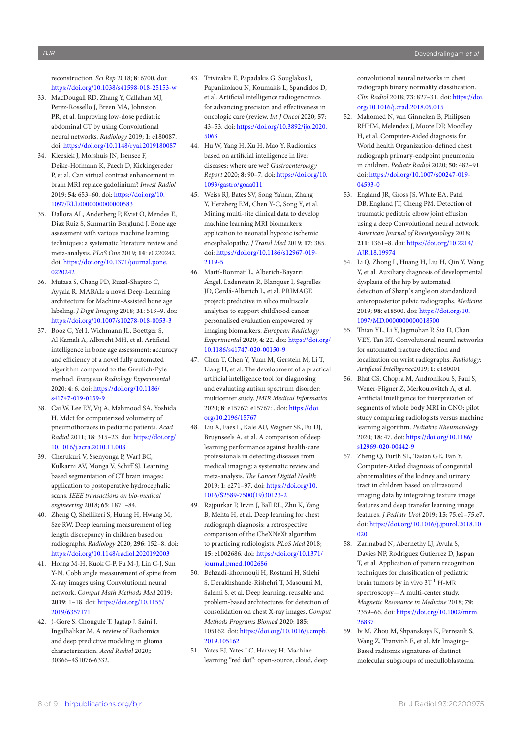reconstruction. *Sci Rep* 2018; **8**: 6700. doi: <https://doi.org/10.1038/s41598-018-25153-w>

- <span id="page-7-0"></span>33. MacDougall RD, Zhang Y, Callahan MJ, Perez-Rossello J, Breen MA, Johnston PR, et al. Improving low-dose pediatric abdominal CT by using Convolutional neural networks. *Radiology* 2019; **1**: e180087. doi:<https://doi.org/10.1148/ryai.2019180087>
- <span id="page-7-1"></span>34. Kleesiek J, Morshuis JN, Isensee F, Deike-Hofmann K, Paech D, Kickingereder P, et al. Can virtual contrast enhancement in brain MRI replace gadolinium? *Invest Radiol* 2019; **54**: 653–60. doi: [https://doi.org/10.](https://doi.org/10.1097/RLI.0000000000000583) [1097/RLI.0000000000000583](https://doi.org/10.1097/RLI.0000000000000583)
- <span id="page-7-2"></span>35. Dallora AL, Anderberg P, Kvist O, Mendes E, Diaz Ruiz S, Sanmartin Berglund J. Bone age assessment with various machine learning techniques: a systematic literature review and meta-analysis. *PLoS One* 2019; **14**: e0220242. doi: [https://doi.org/10.1371/journal.pone.](https://doi.org/10.1371/journal.pone.0220242) [0220242](https://doi.org/10.1371/journal.pone.0220242)
- 36. Mutasa S, Chang PD, Ruzal-Shapiro C, Ayyala R. MABAL: a novel Deep-Learning architecture for Machine-Assisted bone age labeling. *J Digit Imaging* 2018; **31**: 513–9. doi: <https://doi.org/10.1007/s10278-018-0053-3>
- <span id="page-7-3"></span>37. Booz C, Yel I, Wichmann JL, Boettger S, Al Kamali A, Albrecht MH, et al. Artificial intelligence in bone age assessment: accuracy and efficiency of a novel fully automated algorithm compared to the Greulich-Pyle method. *European Radiology Experimental* 2020; **4**: 6. doi: [https://doi.org/10.1186/](https://doi.org/10.1186/s41747-019-0139-9) [s41747-019-0139-9](https://doi.org/10.1186/s41747-019-0139-9)
- <span id="page-7-4"></span>38. Cai W, Lee EY, Vij A, Mahmood SA, Yoshida H. Mdct for computerized volumetry of pneumothoraces in pediatric patients. *Acad Radiol* 2011; **18**: 315–23. doi: [https://doi.org/](https://doi.org/10.1016/j.acra.2010.11.008) [10.1016/j.acra.2010.11.008](https://doi.org/10.1016/j.acra.2010.11.008)
- <span id="page-7-5"></span>39. Cherukuri V, Ssenyonga P, Warf BC, Kulkarni AV, Monga V, Schiff SJ. Learning based segmentation of CT brain images: application to postoperative hydrocephalic scans. *IEEE transactions on bio-medical engineering* 2018; **65**: 1871–84.
- <span id="page-7-6"></span>40. Zheng Q, Shellikeri S, Huang H, Hwang M, Sze RW. Deep learning measurement of leg length discrepancy in children based on radiographs. *Radiology* 2020; **296**: 152–8. doi: <https://doi.org/10.1148/radiol.2020192003>
- <span id="page-7-7"></span>41. Horng M-H, Kuok C-P, Fu M-J, Lin C-J, Sun Y-N. Cobb angle measurement of spine from X-ray images using Convolutional neural network. *Comput Math Methods Med* 2019; **2019**: 1–18. doi: [https://doi.org/10.1155/](https://doi.org/10.1155/2019/6357171) [2019/6357171](https://doi.org/10.1155/2019/6357171)
- <span id="page-7-8"></span>42. )-Gore S, Chougule T, Jagtap J, Saini J, Ingalhalikar M. A review of Radiomics and deep predictive modeling in glioma characterization. *Acad Radiol* 2020;: 30366–4S1076-6332.
- 43. Trivizakis E, Papadakis G, Souglakos I, Papanikolaou N, Koumakis L, Spandidos D, et al. Artificial intelligence radiogenomics for advancing precision and effectiveness in oncologic care (review. *Int J Oncol* 2020; **57**: 43–53. doi: [https://doi.org/10.3892/ijo.2020.](https://doi.org/10.3892/ijo.2020.5063) [5063](https://doi.org/10.3892/ijo.2020.5063)
- 44. Hu W, Yang H, Xu H, Mao Y. Radiomics based on artificial intelligence in liver diseases: where are we? *Gastroenterology Report* 2020; **8**: 90–7. doi: [https://doi.org/10.](https://doi.org/10.1093/gastro/goaa011) [1093/gastro/goaa011](https://doi.org/10.1093/gastro/goaa011)
- <span id="page-7-9"></span>45. Weiss RJ, Bates SV, Song Ya'nan, Zhang Y, Herzberg EM, Chen Y-C, Song Y, et al. Mining multi-site clinical data to develop machine learning MRI biomarkers: application to neonatal hypoxic ischemic encephalopathy. *J Transl Med* 2019; **17**: 385. doi: [https://doi.org/10.1186/s12967-019-](https://doi.org/10.1186/s12967-019-2119-5) [2119-5](https://doi.org/10.1186/s12967-019-2119-5)
- <span id="page-7-10"></span>46. Martí-Bonmatí L, Alberich-Bayarri Ángel, Ladenstein R, Blanquer I, Segrelles JD, Cerdá-Alberich L, et al. PRIMAGE project: predictive in silico multiscale analytics to support childhood cancer personalised evaluation empowered by imaging biomarkers. *European Radiology Experimental* 2020; **4**: 22. doi: [https://doi.org/](https://doi.org/10.1186/s41747-020-00150-9) [10.1186/s41747-020-00150-9](https://doi.org/10.1186/s41747-020-00150-9)
- <span id="page-7-11"></span>47. Chen T, Chen Y, Yuan M, Gerstein M, Li T, Liang H, et al. The development of a practical artificial intelligence tool for diagnosing and evaluating autism spectrum disorder: multicenter study. *JMIR Medical Informatics* 2020; **8**: e15767: e15767: . doi: [https://doi.](https://doi.org/10.2196/15767) [org/10.2196/15767](https://doi.org/10.2196/15767)
- <span id="page-7-12"></span>48. Liu X, Faes L, Kale AU, Wagner SK, Fu DJ, Bruynseels A, et al. A comparison of deep learning performance against health-care professionals in detecting diseases from medical imaging: a systematic review and meta-analysis. *The Lancet Digital Health* 2019; **1**: e271–97. doi: [https://doi.org/10.](https://doi.org/10.1016/S2589-7500(19)30123-2) [1016/S2589-7500\(19\)30123-2](https://doi.org/10.1016/S2589-7500(19)30123-2)
- <span id="page-7-13"></span>49. Rajpurkar P, Irvin J, Ball RL, Zhu K, Yang B, Mehta H, et al. Deep learning for chest radiograph diagnosis: a retrospective comparison of the CheXNeXt algorithm to practicing radiologists. *PLoS Med* 2018; **15**: e1002686. doi: [https://doi.org/10.1371/](https://doi.org/10.1371/journal.pmed.1002686) [journal.pmed.1002686](https://doi.org/10.1371/journal.pmed.1002686)
- 50. Behzadi-khormouji H, Rostami H, Salehi S, Derakhshande-Rishehri T, Masoumi M, Salemi S, et al. Deep learning, reusable and problem-based architectures for detection of consolidation on chest X-ray images. *Comput Methods Programs Biomed* 2020; **185**: 105162. doi: [https://doi.org/10.1016/j.cmpb.](https://doi.org/10.1016/j.cmpb.2019.105162) [2019.105162](https://doi.org/10.1016/j.cmpb.2019.105162)
- 51. Yates EJ, Yates LC, Harvey H. Machine learning "red dot": open-source, cloud, deep

convolutional neural networks in chest radiograph binary normality classification. *Clin Radiol* 2018; **73**: 827–31. doi: [https://doi.](https://doi.org/10.1016/j.crad.2018.05.015) [org/10.1016/j.crad.2018.05.015](https://doi.org/10.1016/j.crad.2018.05.015)

- 52. Mahomed N, van Ginneken B, Philipsen RHHM, Melendez J, Moore DP, Moodley H, et al. Computer-Aided diagnosis for World health Organization-defined chest radiograph primary-endpoint pneumonia in children. *Pediatr Radiol* 2020; **50**: 482–91. doi: [https://doi.org/10.1007/s00247-019-](https://doi.org/10.1007/s00247-019-04593-0) [04593-0](https://doi.org/10.1007/s00247-019-04593-0)
- <span id="page-7-14"></span>53. England JR, Gross JS, White EA, Patel DB, England JT, Cheng PM. Detection of traumatic pediatric elbow joint effusion using a deep Convolutional neural network. *American Journal of Roentgenology* 2018; **211**: 1361–8. doi: [https://doi.org/10.2214/](https://doi.org/10.2214/AJR.18.19974) [AJR.18.19974](https://doi.org/10.2214/AJR.18.19974)
- <span id="page-7-15"></span>54. Li Q, Zhong L, Huang H, Liu H, Qin Y, Wang Y, et al. Auxiliary diagnosis of developmental dysplasia of the hip by automated detection of Sharp's angle on standardized anteroposterior pelvic radiographs. *Medicine* 2019; **98**: e18500. doi: [https://doi.org/10.](https://doi.org/10.1097/MD.0000000000018500) [1097/MD.0000000000018500](https://doi.org/10.1097/MD.0000000000018500)
- <span id="page-7-16"></span>55. Thian YL, Li Y, Jagmohan P, Sia D, Chan VEY, Tan RT. Convolutional neural networks for automated fracture detection and localization on wrist radiographs. *Radiology: Artificial Intelligence*2019; **1**: e180001.
- <span id="page-7-17"></span>56. Bhat CS, Chopra M, Andronikou S, Paul S, Wener-Fligner Z, Merkoulovitch A, et al. Artificial intelligence for interpretation of segments of whole body MRI in CNO: pilot study comparing radiologists versus machine learning algorithm. *Pediatric Rheumatology* 2020; **18**: 47. doi: [https://doi.org/10.1186/](https://doi.org/10.1186/s12969-020-00442-9) [s12969-020-00442-9](https://doi.org/10.1186/s12969-020-00442-9)
- <span id="page-7-18"></span>57. Zheng Q, Furth SL, Tasian GE, Fan Y. Computer-Aided diagnosis of congenital abnormalities of the kidney and urinary tract in children based on ultrasound imaging data by integrating texture image features and deep transfer learning image features. *J Pediatr Urol* 2019; **15**: 75.e1–75.e7. doi: [https://doi.org/10.1016/j.jpurol.2018.10.](https://doi.org/10.1016/j.jpurol.2018.10.020)  $020$
- <span id="page-7-19"></span>58. Zarinabad N, Abernethy LJ, Avula S, Davies NP, Rodriguez Gutierrez D, Jaspan T, et al. Application of pattern recognition techniques for classification of pediatric brain tumors by in vivo 3T<sup>1</sup> H-MR spectroscopy—A multi-center study. *Magnetic Resonance in Medicine* 2018; **79**: 2359–66. doi: [https://doi.org/10.1002/mrm.](https://doi.org/10.1002/mrm.26837) [26837](https://doi.org/10.1002/mrm.26837)
- <span id="page-7-20"></span>59. Iv M, Zhou M, Shpanskaya K, Perreault S, Wang Z, Tranvinh E, et al. Mr Imaging– Based radiomic signatures of distinct molecular subgroups of medulloblastoma.